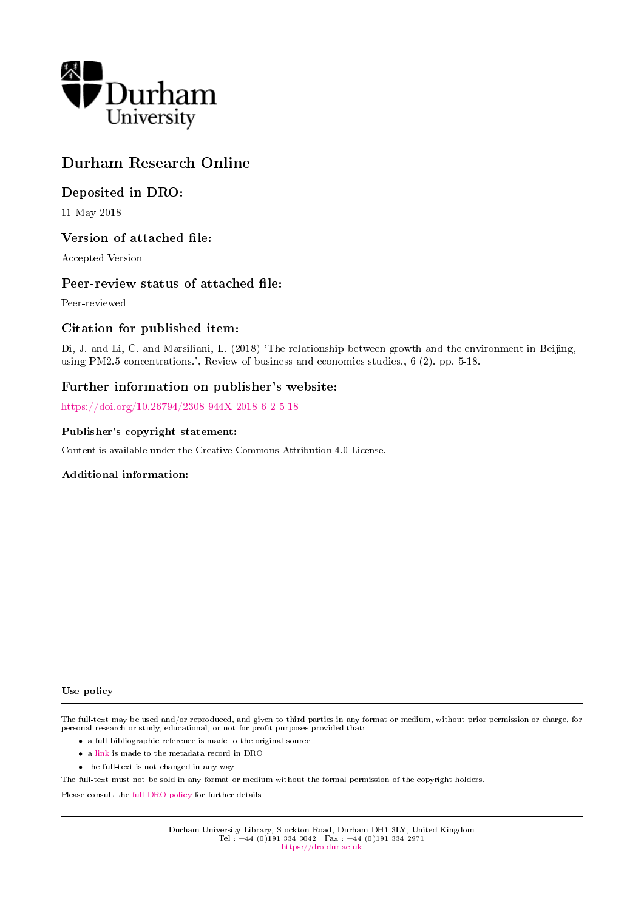

# Durham Research Online

## Deposited in DRO:

11 May 2018

#### Version of attached file:

Accepted Version

#### Peer-review status of attached file:

Peer-reviewed

### Citation for published item:

Di, J. and Li, C. and Marsiliani, L. (2018) 'The relationship between growth and the environment in Beijing, using PM2.5 concentrations.', Review of business and economics studies., 6 (2). pp. 5-18.

## Further information on publisher's website:

<https://doi.org/10.26794/2308-944X-2018-6-2-5-18>

#### Publisher's copyright statement:

Content is available under the Creative Commons Attribution 4.0 License.

#### Additional information:

#### Use policy

The full-text may be used and/or reproduced, and given to third parties in any format or medium, without prior permission or charge, for personal research or study, educational, or not-for-profit purposes provided that:

- a full bibliographic reference is made to the original source
- a [link](http://dro.dur.ac.uk/24819/) is made to the metadata record in DRO
- the full-text is not changed in any way

The full-text must not be sold in any format or medium without the formal permission of the copyright holders.

Please consult the [full DRO policy](https://dro.dur.ac.uk/policies/usepolicy.pdf) for further details.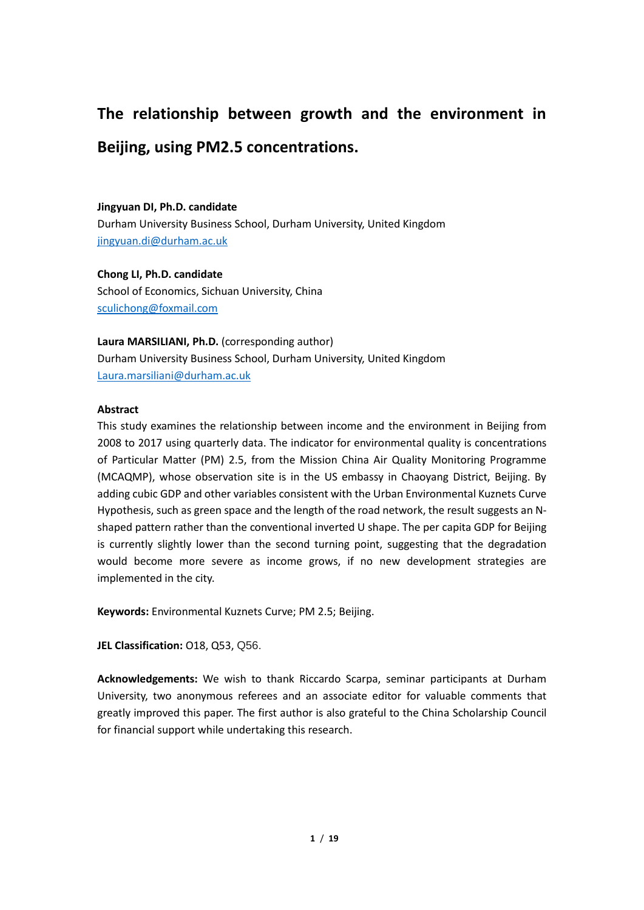# **The relationship between growth and the environment in**

# **Beijing, using PM2.5 concentrations.**

#### **Jingyuan DI, Ph.D. candidate**

Durham University Business School, Durham University, United Kingdom [jingyuan.di@durham.ac.uk](mailto:jingyuan.di@durham.ac.uk)

**Chong LI, Ph.D. candidate** School of Economics, Sichuan University, China [sculichong@foxmail.com](mailto:sculichong@foxmail.com)

**Laura MARSILIANI, Ph.D.** (corresponding author) Durham University Business School, Durham University, United Kingdom [Laura.marsiliani@durham.ac.uk](mailto:Laura.marsiliani@durham.ac.uk)

#### **Abstract**

This study examines the relationship between income and the environment in Beijing from 2008 to 2017 using quarterly data. The indicator for environmental quality is concentrations of Particular Matter (PM) 2.5, from the Mission China Air Quality Monitoring Programme (MCAQMP), whose observation site is in the US embassy in Chaoyang District, Beijing. By adding cubic GDP and other variables consistent with the Urban Environmental Kuznets Curve Hypothesis, such as green space and the length of the road network, the result suggests an Nshaped pattern rather than the conventional inverted U shape. The per capita GDP for Beijing is currently slightly lower than the second turning point, suggesting that the degradation would become more severe as income grows, if no new development strategies are implemented in the city.

**Keywords:** Environmental Kuznets Curve; PM 2.5; Beijing.

**JEL Classification:** O18, Q53, Q56.

**Acknowledgements:** We wish to thank Riccardo Scarpa, seminar participants at Durham University, two anonymous referees and an associate editor for valuable comments that greatly improved this paper. The first author is also grateful to the China Scholarship Council for financial support while undertaking this research.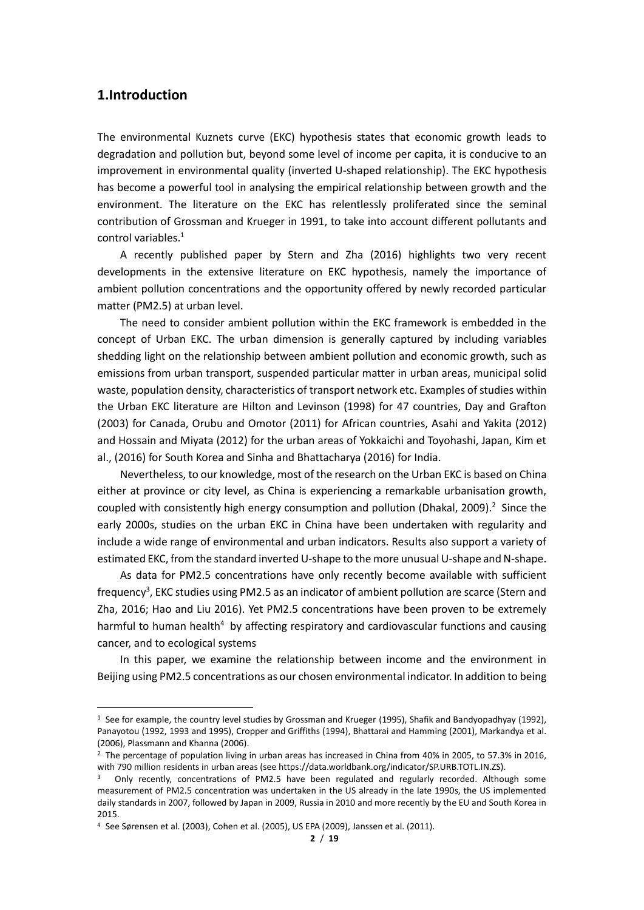#### **1.Introduction**

 $\overline{a}$ 

The environmental Kuznets curve (EKC) hypothesis states that economic growth leads to degradation and pollution but, beyond some level of income per capita, it is conducive to an improvement in environmental quality (inverted U-shaped relationship). The EKC hypothesis has become a powerful tool in analysing the empirical relationship between growth and the environment. The literature on the EKC has relentlessly proliferated since the seminal contribution of Grossman and Krueger in 1991, to take into account different pollutants and control variables. 1

A recently published paper by Stern and Zha (2016) highlights two very recent developments in the extensive literature on EKC hypothesis, namely the importance of ambient pollution concentrations and the opportunity offered by newly recorded particular matter (PM2.5) at urban level.

The need to consider ambient pollution within the EKC framework is embedded in the concept of Urban EKC. The urban dimension is generally captured by including variables shedding light on the relationship between ambient pollution and economic growth, such as emissions from urban transport, suspended particular matter in urban areas, municipal solid waste, population density, characteristics of transport network etc. Examples of studies within the Urban EKC literature are Hilton and Levinson (1998) for 47 countries, Day and Grafton (2003) for Canada, Orubu and Omotor (2011) for African countries, Asahi and Yakita (2012) and Hossain and Miyata (2012) for the urban areas of Yokkaichi and Toyohashi, Japan, Kim et al., (2016) for South Korea and Sinha and Bhattacharya (2016) for India.

Nevertheless, to our knowledge, most of the research on the Urban EKC is based on China either at province or city level, as China is experiencing a remarkable urbanisation growth, coupled with consistently high energy consumption and pollution (Dhakal, 2009).<sup>2</sup> Since the early 2000s, studies on the urban EKC in China have been undertaken with regularity and include a wide range of environmental and urban indicators. Results also support a variety of estimated EKC, from the standard inverted U-shape to the more unusual U-shape and N-shape.

As data for PM2.5 concentrations have only recently become available with sufficient frequency<sup>3</sup>, EKC studies using PM2.5 as an indicator of ambient pollution are scarce (Stern and Zha, 2016; Hao and Liu 2016). Yet PM2.5 concentrations have been proven to be extremely harmful to human health<sup>4</sup> by affecting respiratory and cardiovascular functions and causing cancer, and to ecological systems

In this paper, we examine the relationship between income and the environment in Beijing using PM2.5 concentrations as our chosen environmental indicator. In addition to being

<sup>&</sup>lt;sup>1</sup> See for example, the country level studies by Grossman and Krueger (1995), Shafik and Bandyopadhyay (1992), Panayotou (1992, 1993 and 1995), Cropper and Griffiths (1994), Bhattarai and Hamming (2001), Markandya et al. (2006), Plassmann and Khanna (2006).

<sup>&</sup>lt;sup>2</sup> The percentage of population living in urban areas has increased in China from 40% in 2005, to 57.3% in 2016, with 790 million residents in urban areas (see https://data.worldbank.org/indicator/SP.URB.TOTL.IN.ZS).

<sup>&</sup>lt;sup>3</sup> Only recently, concentrations of PM2.5 have been regulated and regularly recorded. Although some measurement of PM2.5 concentration was undertaken in the US already in the late 1990s, the US implemented daily standards in 2007, followed by Japan in 2009, Russia in 2010 and more recently by the EU and South Korea in 2015.

<sup>4</sup> See Sørensen et al. (2003), Cohen et al. (2005), US EPA (2009), Janssen et al. (2011).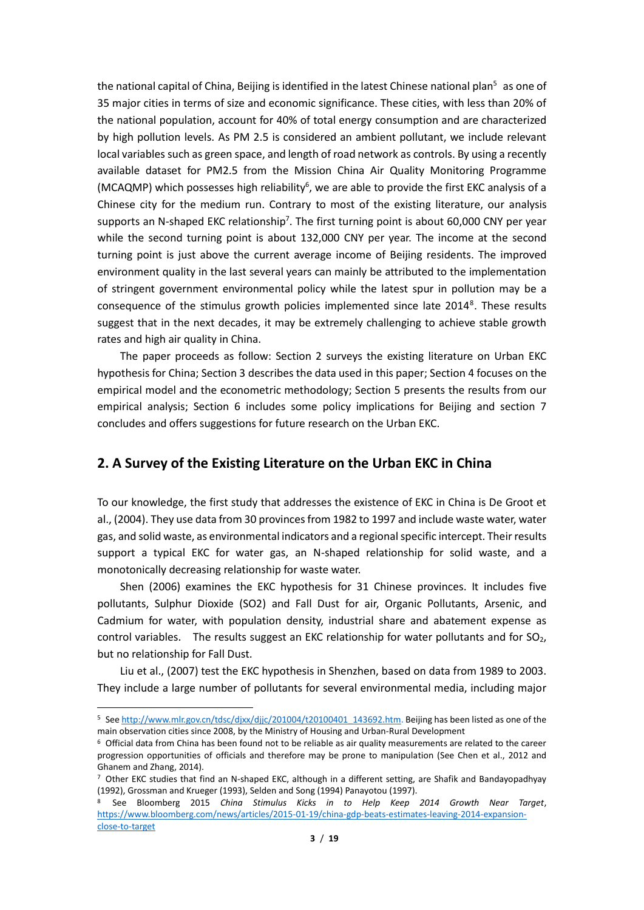the national capital of China, Beijing is identified in the latest Chinese national plan<sup>5</sup> as one of 35 major cities in terms of size and economic significance. These cities, with less than 20% of the national population, account for 40% of total energy consumption and are characterized by high pollution levels. As PM 2.5 is considered an ambient pollutant, we include relevant local variables such as green space, and length of road network as controls. By using a recently available dataset for PM2.5 from the Mission China Air Quality Monitoring Programme (MCAQMP) which possesses high reliability<sup>6</sup>, we are able to provide the first EKC analysis of a Chinese city for the medium run. Contrary to most of the existing literature, our analysis supports an N-shaped EKC relationship<sup>7</sup>. The first turning point is about 60,000 CNY per year while the second turning point is about 132,000 CNY per year. The income at the second turning point is just above the current average income of Beijing residents. The improved environment quality in the last several years can mainly be attributed to the implementation of stringent government environmental policy while the latest spur in pollution may be a consequence of the stimulus growth policies implemented since late 2014<sup>8</sup>. These results suggest that in the next decades, it may be extremely challenging to achieve stable growth rates and high air quality in China.

The paper proceeds as follow: Section 2 surveys the existing literature on Urban EKC hypothesis for China; Section 3 describes the data used in this paper; Section 4 focuses on the empirical model and the econometric methodology; Section 5 presents the results from our empirical analysis; Section 6 includes some policy implications for Beijing and section 7 concludes and offers suggestions for future research on the Urban EKC.

#### **2. A Survey of the Existing Literature on the Urban EKC in China**

To our knowledge, the first study that addresses the existence of EKC in China is De Groot et al., (2004). They use data from 30 provinces from 1982 to 1997 and include waste water, water gas, and solid waste, as environmental indicators and a regional specific intercept. Their results support a typical EKC for water gas, an N-shaped relationship for solid waste, and a monotonically decreasing relationship for waste water.

Shen (2006) examines the EKC hypothesis for 31 Chinese provinces. It includes five pollutants, Sulphur Dioxide (SO2) and Fall Dust for air, Organic Pollutants, Arsenic, and Cadmium for water, with population density, industrial share and abatement expense as control variables. The results suggest an EKC relationship for water pollutants and for  $SO<sub>2</sub>$ , but no relationship for Fall Dust.

Liu et al., (2007) test the EKC hypothesis in Shenzhen, based on data from 1989 to 2003. They include a large number of pollutants for several environmental media, including major

 $\overline{a}$ 

<sup>5</sup> Se[e http://www.mlr.gov.cn/tdsc/djxx/djjc/201004/t20100401\\_143692.htm.](http://www.mlr.gov.cn/tdsc/djxx/djjc/201004/t20100401_143692.htm) Beijing has been listed as one of the main observation cities since 2008, by the Ministry of Housing and Urban-Rural Development

 $6$  Official data from China has been found not to be reliable as air quality measurements are related to the career progression opportunities of officials and therefore may be prone to manipulation (See Chen et al., 2012 and Ghanem and Zhang, 2014).

 $7$  Other EKC studies that find an N-shaped EKC, although in a different setting, are Shafik and Bandayopadhyay (1992), Grossman and Krueger (1993), Selden and Song (1994) Panayotou (1997).

<sup>8</sup> See Bloomberg 2015 *China Stimulus Kicks in to Help Keep 2014 Growth Near Target*, [https://www.bloomberg.com/news/articles/2015-01-19/china-gdp-beats-estimates-leaving-2014-expansion](https://www.bloomberg.com/news/articles/2015-01-19/china-gdp-beats-estimates-leaving-2014-expansion-close-to-target)[close-to-target](https://www.bloomberg.com/news/articles/2015-01-19/china-gdp-beats-estimates-leaving-2014-expansion-close-to-target)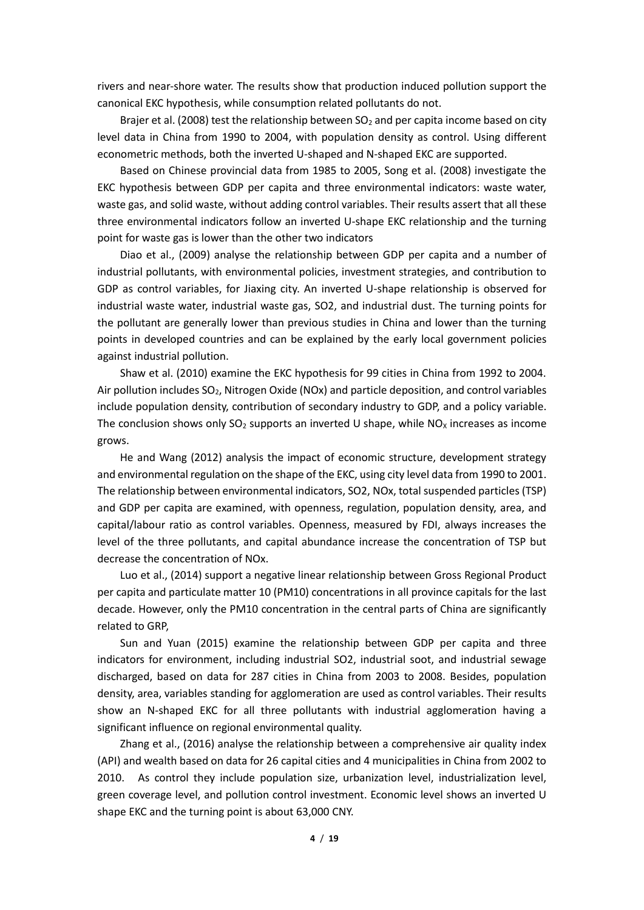rivers and near-shore water. The results show that production induced pollution support the canonical EKC hypothesis, while consumption related pollutants do not.

Brajer et al. (2008) test the relationship between  $SO<sub>2</sub>$  and per capita income based on city level data in China from 1990 to 2004, with population density as control. Using different econometric methods, both the inverted U-shaped and N-shaped EKC are supported.

Based on Chinese provincial data from 1985 to 2005, Song et al. (2008) investigate the EKC hypothesis between GDP per capita and three environmental indicators: waste water, waste gas, and solid waste, without adding control variables. Their results assert that all these three environmental indicators follow an inverted U-shape EKC relationship and the turning point for waste gas is lower than the other two indicators

Diao et al., (2009) analyse the relationship between GDP per capita and a number of industrial pollutants, with environmental policies, investment strategies, and contribution to GDP as control variables, for Jiaxing city. An inverted U-shape relationship is observed for industrial waste water, industrial waste gas, SO2, and industrial dust. The turning points for the pollutant are generally lower than previous studies in China and lower than the turning points in developed countries and can be explained by the early local government policies against industrial pollution.

Shaw et al. (2010) examine the EKC hypothesis for 99 cities in China from 1992 to 2004. Air pollution includes  $SO<sub>2</sub>$ , Nitrogen Oxide (NOx) and particle deposition, and control variables include population density, contribution of secondary industry to GDP, and a policy variable. The conclusion shows only  $SO_2$  supports an inverted U shape, while  $NO<sub>x</sub>$  increases as income grows.

He and Wang (2012) analysis the impact of economic structure, development strategy and environmental regulation on the shape of the EKC, using city level data from 1990 to 2001. The relationship between environmental indicators, SO2, NOx, total suspended particles (TSP) and GDP per capita are examined, with openness, regulation, population density, area, and capital/labour ratio as control variables. Openness, measured by FDI, always increases the level of the three pollutants, and capital abundance increase the concentration of TSP but decrease the concentration of NOx.

Luo et al., (2014) support a negative linear relationship between Gross Regional Product per capita and particulate matter 10 (PM10) concentrations in all province capitals for the last decade. However, only the PM10 concentration in the central parts of China are significantly related to GRP,

Sun and Yuan (2015) examine the relationship between GDP per capita and three indicators for environment, including industrial SO2, industrial soot, and industrial sewage discharged, based on data for 287 cities in China from 2003 to 2008. Besides, population density, area, variables standing for agglomeration are used as control variables. Their results show an N-shaped EKC for all three pollutants with industrial agglomeration having a significant influence on regional environmental quality.

Zhang et al., (2016) analyse the relationship between a comprehensive air quality index (API) and wealth based on data for 26 capital cities and 4 municipalities in China from 2002 to 2010. As control they include population size, urbanization level, industrialization level, green coverage level, and pollution control investment. Economic level shows an inverted U shape EKC and the turning point is about 63,000 CNY.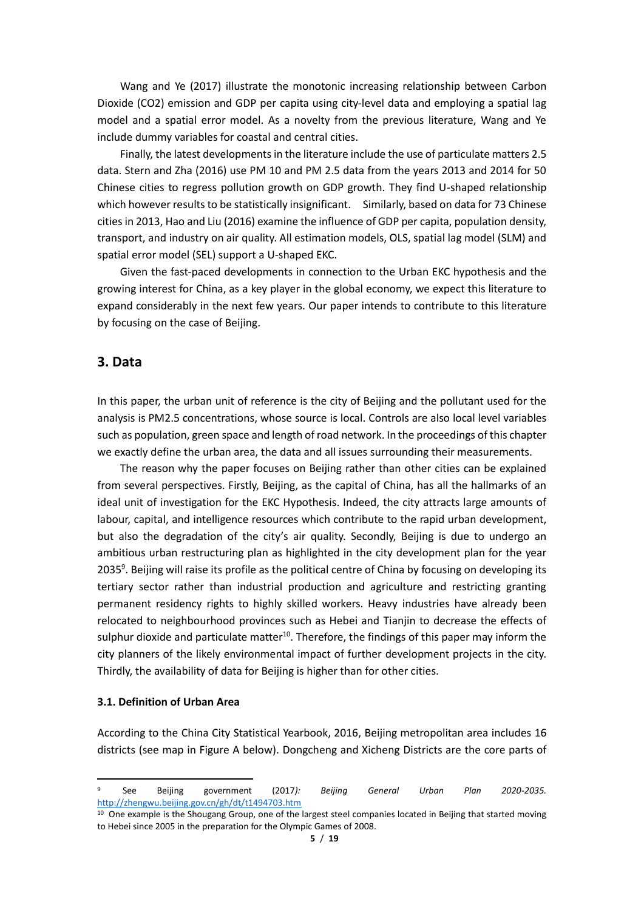Wang and Ye (2017) illustrate the monotonic increasing relationship between Carbon Dioxide (CO2) emission and GDP per capita using city-level data and employing a spatial lag model and a spatial error model. As a novelty from the previous literature, Wang and Ye include dummy variables for coastal and central cities.

Finally, the latest developments in the literature include the use of particulate matters 2.5 data. Stern and Zha (2016) use PM 10 and PM 2.5 data from the years 2013 and 2014 for 50 Chinese cities to regress pollution growth on GDP growth. They find U-shaped relationship which however results to be statistically insignificant. Similarly, based on data for 73 Chinese cities in 2013, Hao and Liu (2016) examine the influence of GDP per capita, population density, transport, and industry on air quality. All estimation models, OLS, spatial lag model (SLM) and spatial error model (SEL) support a U-shaped EKC.

Given the fast-paced developments in connection to the Urban EKC hypothesis and the growing interest for China, as a key player in the global economy, we expect this literature to expand considerably in the next few years. Our paper intends to contribute to this literature by focusing on the case of Beijing.

#### **3. Data**

In this paper, the urban unit of reference is the city of Beijing and the pollutant used for the analysis is PM2.5 concentrations, whose source is local. Controls are also local level variables such as population, green space and length of road network. In the proceedings of this chapter we exactly define the urban area, the data and all issues surrounding their measurements.

The reason why the paper focuses on Beijing rather than other cities can be explained from several perspectives. Firstly, Beijing, as the capital of China, has all the hallmarks of an ideal unit of investigation for the EKC Hypothesis. Indeed, the city attracts large amounts of labour, capital, and intelligence resources which contribute to the rapid urban development, but also the degradation of the city's air quality. Secondly, Beijing is due to undergo an ambitious urban restructuring plan as highlighted in the city development plan for the year 2035<sup>9</sup>. Beijing will raise its profile as the political centre of China by focusing on developing its tertiary sector rather than industrial production and agriculture and restricting granting permanent residency rights to highly skilled workers. Heavy industries have already been relocated to neighbourhood provinces such as Hebei and Tianjin to decrease the effects of sulphur dioxide and particulate matter<sup>10</sup>. Therefore, the findings of this paper may inform the city planners of the likely environmental impact of further development projects in the city. Thirdly, the availability of data for Beijing is higher than for other cities.

#### **3.1. Definition of Urban Area**

 $\overline{a}$ 

According to the China City Statistical Yearbook, 2016, Beijing metropolitan area includes 16 districts (see map in Figure A below). Dongcheng and Xicheng Districts are the core parts of

<sup>9</sup> See Beijing government (2017*): Beijing General Urban Plan 2020-2035.*  <http://zhengwu.beijing.gov.cn/gh/dt/t1494703.htm>

<sup>&</sup>lt;sup>10</sup> One example is the Shougang Group, one of the largest steel companies located in Beijing that started moving to Hebei since 2005 in the preparation for the Olympic Games of 2008.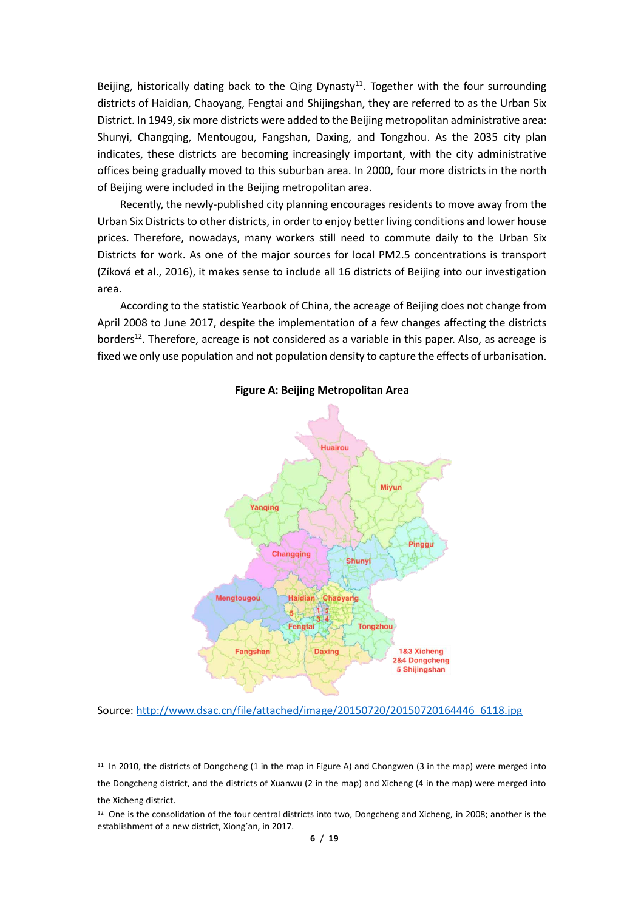Beijing, historically dating back to the Qing Dynasty<sup>11</sup>. Together with the four surrounding districts of Haidian, Chaoyang, Fengtai and Shijingshan, they are referred to as the Urban Six District. In 1949, six more districts were added to the Beijing metropolitan administrative area: Shunyi, Changqing, Mentougou, Fangshan, Daxing, and Tongzhou. As the 2035 city plan indicates, these districts are becoming increasingly important, with the city administrative offices being gradually moved to this suburban area. In 2000, four more districts in the north of Beijing were included in the Beijing metropolitan area.

Recently, the newly-published city planning encourages residents to move away from the Urban Six Districts to other districts, in order to enjoy better living conditions and lower house prices. Therefore, nowadays, many workers still need to commute daily to the Urban Six Districts for work. As one of the major sources for local PM2.5 concentrations is transport (Zíková et al., 2016), it makes sense to include all 16 districts of Beijing into our investigation area.

According to the statistic Yearbook of China, the acreage of Beijing does not change from April 2008 to June 2017, despite the implementation of a few changes affecting the districts borders<sup>12</sup>. Therefore, acreage is not considered as a variable in this paper. Also, as acreage is fixed we only use population and not population density to capture the effects of urbanisation.



**Figure A: Beijing Metropolitan Area**

Source: [http://www.dsac.cn/file/attached/image/20150720/20150720164446\\_6118.jpg](http://www.dsac.cn/file/attached/image/20150720/20150720164446_6118.jpg)

1

<sup>&</sup>lt;sup>11</sup> In 2010, the districts of Dongcheng (1 in the map in Figure A) and Chongwen (3 in the map) were merged into the Dongcheng district, and the districts of Xuanwu (2 in the map) and Xicheng (4 in the map) were merged into the Xicheng district.

<sup>&</sup>lt;sup>12</sup> One is the consolidation of the four central districts into two, Dongcheng and Xicheng, in 2008; another is the establishment of a new district, Xiong'an, in 2017.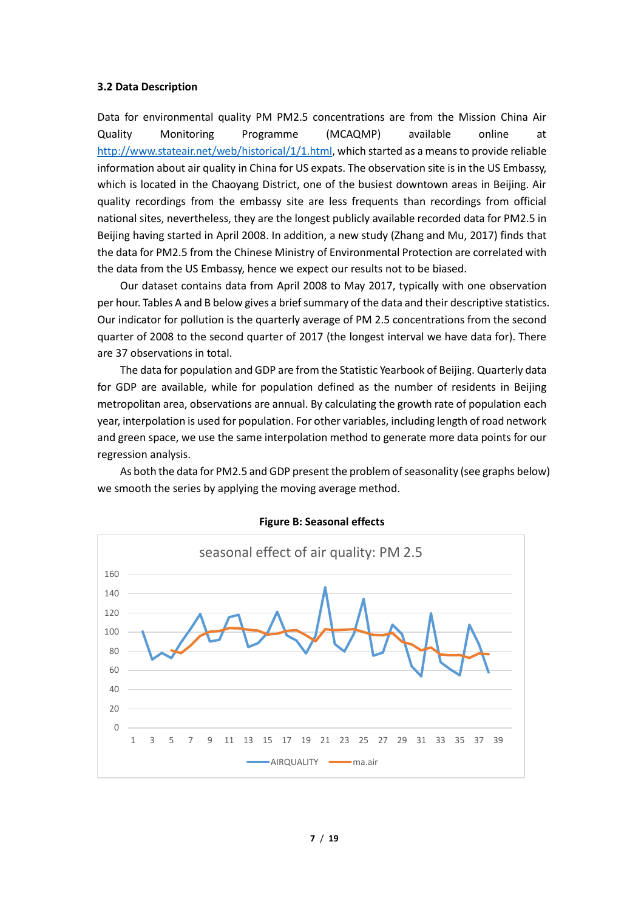#### **3.2 Data Description**

Data for environmental quality PM PM2.5 concentrations are from the Mission China Air Quality Monitoring Programme (MCAQMP) available online at [http://www.stateair.net/web/historical/1/1.html,](http://www.stateair.net/web/historical/1/1.html) which started as a means to provide reliable information about air quality in China for US expats. The observation site is in the US Embassy, which is located in the Chaoyang District, one of the busiest downtown areas in Beijing. Air quality recordings from the embassy site are less frequents than recordings from official national sites, nevertheless, they are the longest publicly available recorded data for PM2.5 in Beijing having started in April 2008. In addition, a new study (Zhang and Mu, 2017) finds that the data for PM2.5 from the Chinese Ministry of Environmental Protection are correlated with the data from the US Embassy, hence we expect our results not to be biased.

Our dataset contains data from April 2008 to May 2017, typically with one observation per hour. Tables A and B below gives a brief summary of the data and their descriptive statistics. Our indicator for pollution is the quarterly average of PM 2.5 concentrations from the second quarter of 2008 to the second quarter of 2017 (the longest interval we have data for). There are 37 observations in total.

The data for population and GDP are from the Statistic Yearbook of Beijing. Quarterly data for GDP are available, while for population defined as the number of residents in Beijing metropolitan area, observations are annual. By calculating the growth rate of population each year, interpolation is used for population. For other variables, including length of road network and green space, we use the same interpolation method to generate more data points for our regression analysis.

As both the data for PM2.5 and GDP present the problem of seasonality (see graphs below) we smooth the series by applying the moving average method.



**Figure B: Seasonal effects**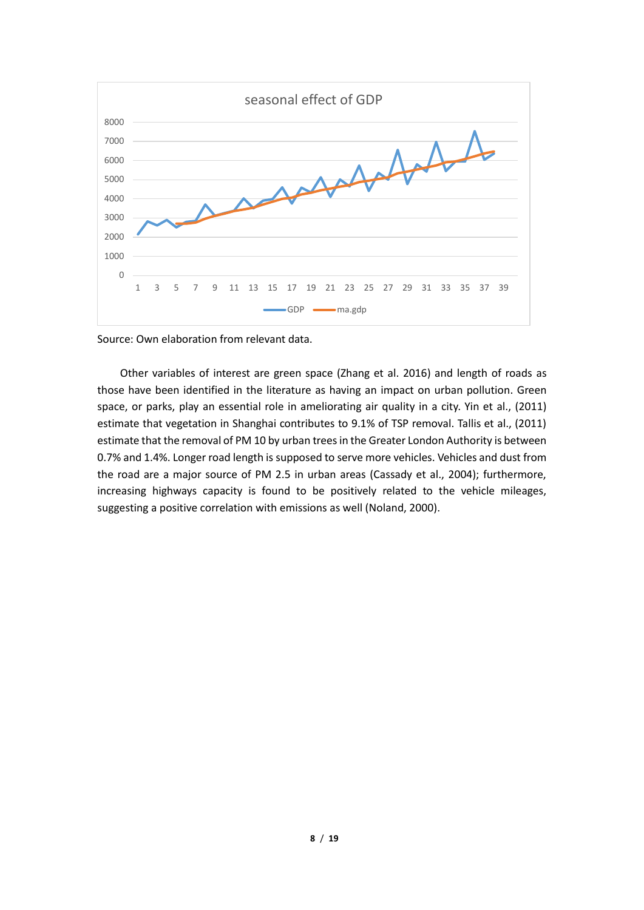

Source: Own elaboration from relevant data.

Other variables of interest are green space (Zhang et al. 2016) and length of roads as those have been identified in the literature as having an impact on urban pollution. Green space, or parks, play an essential role in ameliorating air quality in a city. Yin et al., (2011) estimate that vegetation in Shanghai contributes to 9.1% of TSP removal. Tallis et al., (2011) estimate that the removal of PM 10 by urban trees in the Greater London Authority is between 0.7% and 1.4%. Longer road length is supposed to serve more vehicles. Vehicles and dust from the road are a major source of PM 2.5 in urban areas (Cassady et al., 2004); furthermore, increasing highways capacity is found to be positively related to the vehicle mileages, suggesting a positive correlation with emissions as well (Noland, 2000).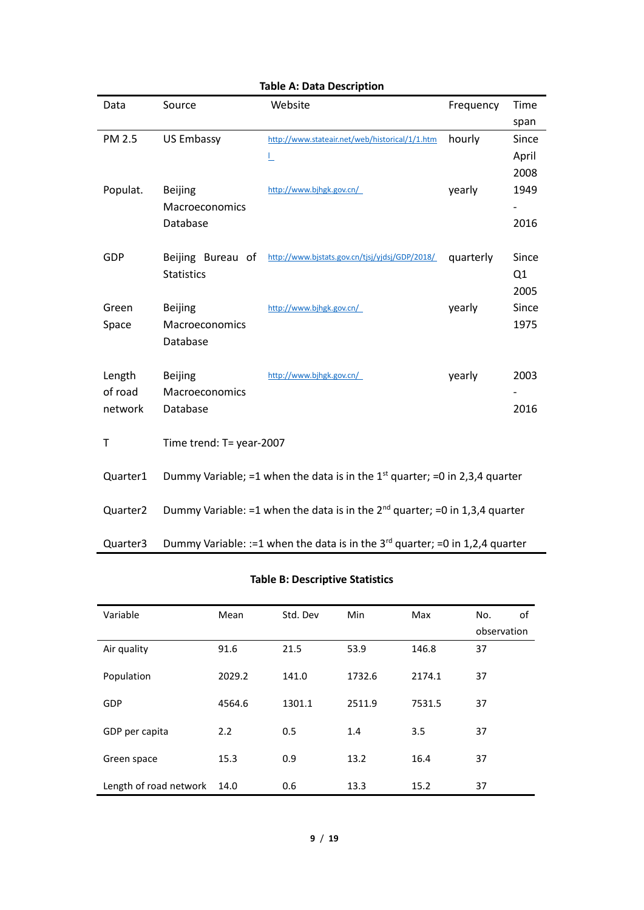| Data                 | Source                                                                                     | Website                                        | Frequency | Time  |  |  |
|----------------------|--------------------------------------------------------------------------------------------|------------------------------------------------|-----------|-------|--|--|
|                      |                                                                                            |                                                |           | span  |  |  |
| <b>PM 2.5</b>        | <b>US Embassy</b>                                                                          | http://www.stateair.net/web/historical/1/1.htm | hourly    | Since |  |  |
|                      |                                                                                            | L                                              |           | April |  |  |
|                      |                                                                                            |                                                |           | 2008  |  |  |
| Populat.             | <b>Beijing</b>                                                                             | http://www.bjhgk.gov.cn/                       | yearly    | 1949  |  |  |
|                      | Macroeconomics                                                                             |                                                |           |       |  |  |
|                      | Database                                                                                   |                                                |           | 2016  |  |  |
|                      |                                                                                            |                                                |           |       |  |  |
| GDP                  | Beijing Bureau of                                                                          | http://www.bjstats.gov.cn/tjsj/yjdsj/GDP/2018/ | quarterly | Since |  |  |
|                      | <b>Statistics</b>                                                                          |                                                |           | Q1    |  |  |
|                      |                                                                                            |                                                |           | 2005  |  |  |
| Green                | <b>Beijing</b>                                                                             | http://www.bjhgk.gov.cn/                       | yearly    | Since |  |  |
| Space                | Macroeconomics                                                                             |                                                |           | 1975  |  |  |
|                      | Database                                                                                   |                                                |           |       |  |  |
|                      |                                                                                            |                                                |           |       |  |  |
| Length               | <b>Beijing</b>                                                                             | http://www.bjhgk.gov.cn/                       | yearly    | 2003  |  |  |
| of road              | Macroeconomics                                                                             |                                                |           |       |  |  |
| network              | Database                                                                                   |                                                |           | 2016  |  |  |
|                      |                                                                                            |                                                |           |       |  |  |
| т                    | Time trend: T= year-2007                                                                   |                                                |           |       |  |  |
|                      |                                                                                            |                                                |           |       |  |  |
| Quarter1             | Dummy Variable; =1 when the data is in the $1st$ quarter; =0 in 2,3,4 quarter              |                                                |           |       |  |  |
|                      |                                                                                            |                                                |           |       |  |  |
| Quarter <sub>2</sub> | Dummy Variable: =1 when the data is in the $2^{nd}$ quarter; =0 in 1,3,4 quarter           |                                                |           |       |  |  |
|                      |                                                                                            |                                                |           |       |  |  |
| Quarter3             | Dummy Variable: := 1 when the data is in the 3 <sup>rd</sup> quarter; = 0 in 1,2,4 quarter |                                                |           |       |  |  |

# **Table A: Data Description**

# **Table B: Descriptive Statistics**

| Variable               | Mean   | Std. Dev | Min    | Max    | No.<br>οf   |
|------------------------|--------|----------|--------|--------|-------------|
|                        |        |          |        |        | observation |
| Air quality            | 91.6   | 21.5     | 53.9   | 146.8  | 37          |
| Population             | 2029.2 | 141.0    | 1732.6 | 2174.1 | 37          |
| GDP                    | 4564.6 | 1301.1   | 2511.9 | 7531.5 | 37          |
| GDP per capita         | 2.2    | 0.5      | 1.4    | 3.5    | 37          |
| Green space            | 15.3   | 0.9      | 13.2   | 16.4   | 37          |
| Length of road network | 14.0   | 0.6      | 13.3   | 15.2   | 37          |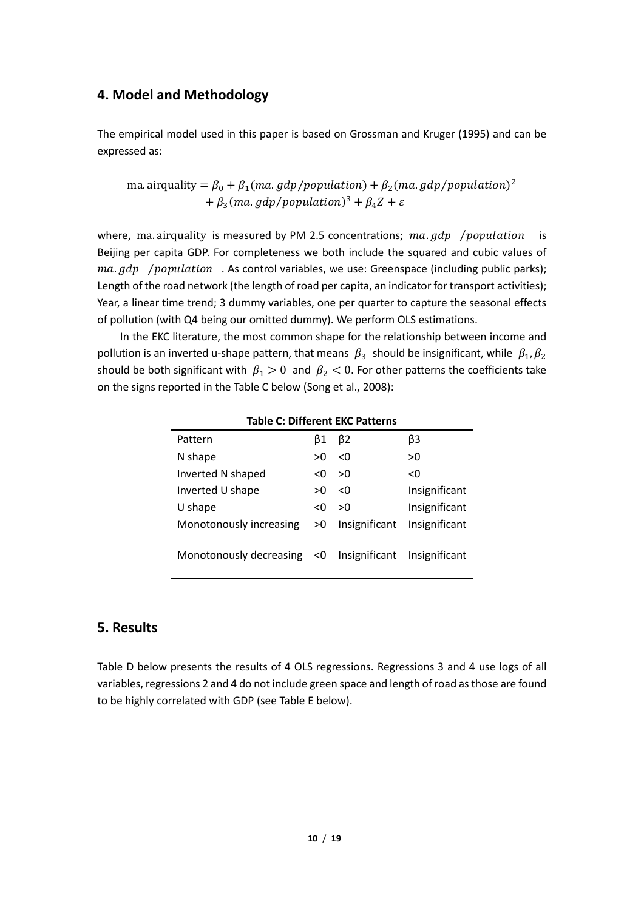# **4. Model and Methodology**

The empirical model used in this paper is based on Grossman and Kruger (1995) and can be expressed as:

ma. airquality =  $\beta_0 + \beta_1 (ma, gdp/population) + \beta_2 (ma, gdp/population)^2$ +  $\beta_3$ (ma. gdp/population)<sup>3</sup> +  $\beta_4 Z$  +  $\varepsilon$ 

where, ma. airquality is measured by PM 2.5 concentrations;  $ma$ ,  $gdp$  /population is Beijing per capita GDP. For completeness we both include the squared and cubic values of  $ma$ .  $qdp$  /  $population$  . As control variables, we use: Greenspace (including public parks); Length of the road network (the length of road per capita, an indicator for transport activities); Year, a linear time trend; 3 dummy variables, one per quarter to capture the seasonal effects of pollution (with Q4 being our omitted dummy). We perform OLS estimations.

In the EKC literature, the most common shape for the relationship between income and pollution is an inverted u-shape pattern, that means  $\beta_3$  should be insignificant, while  $\beta_1, \beta_2$ should be both significant with  $\beta_1 > 0$  and  $\beta_2 < 0$ . For other patterns the coefficients take on the signs reported in the Table C below (Song et al., 2008):

| iable C. DIIIEIEIII LIC Fattellis |    |               |               |  |  |  |
|-----------------------------------|----|---------------|---------------|--|--|--|
| Pattern                           | β1 | β2            | βЗ            |  |  |  |
| N shape                           | >0 | <0            | >0            |  |  |  |
| Inverted N shaped                 | <0 | >0            | < 0           |  |  |  |
| Inverted U shape                  | >0 | <0            | Insignificant |  |  |  |
| U shape                           | <0 | >0            | Insignificant |  |  |  |
| Monotonously increasing           | >0 | Insignificant | Insignificant |  |  |  |
| Monotonously decreasing $\leq 0$  |    | Insignificant | Insignificant |  |  |  |

**Table C: Different EKC Patterns**

## **5. Results**

Table D below presents the results of 4 OLS regressions. Regressions 3 and 4 use logs of all variables, regressions 2 and 4 do not include green space and length of road as those are found to be highly correlated with GDP (see Table E below).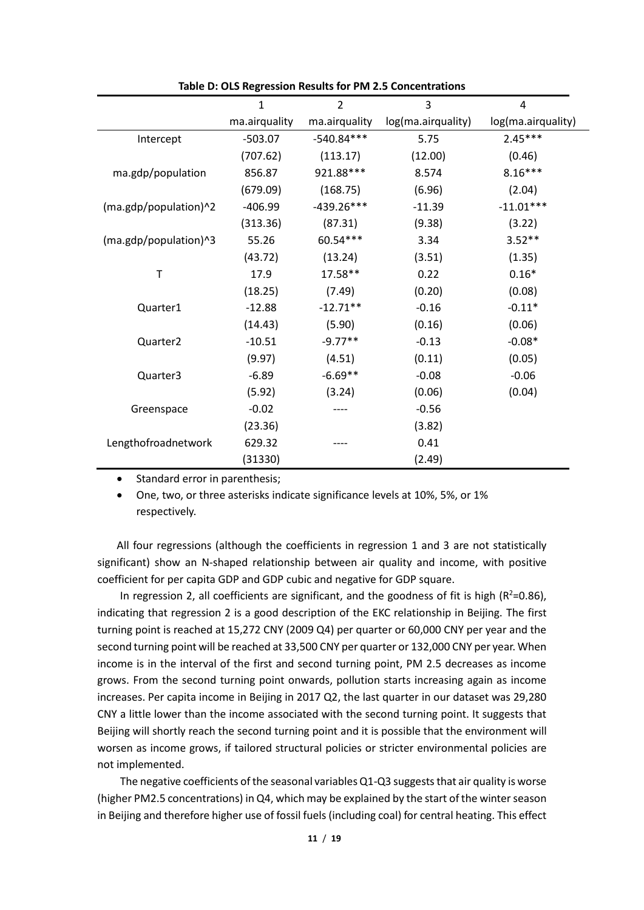|                       | 1             | $\overline{2}$ | 3                  | 4                  |
|-----------------------|---------------|----------------|--------------------|--------------------|
|                       | ma.airquality | ma.airquality  | log(ma.airquality) | log(ma.airquality) |
| Intercept             | $-503.07$     | $-540.84***$   | 5.75               | $2.45***$          |
|                       | (707.62)      | (113.17)       | (12.00)            | (0.46)             |
| ma.gdp/population     | 856.87        | 921.88***      | 8.574              | $8.16***$          |
|                       | (679.09)      | (168.75)       | (6.96)             | (2.04)             |
| (ma.gdp/population)^2 | $-406.99$     | $-439.26***$   | $-11.39$           | $-11.01***$        |
|                       | (313.36)      | (87.31)        | (9.38)             | (3.22)             |
| (ma.gdp/population)^3 | 55.26         | 60.54***       | 3.34               | $3.52**$           |
|                       | (43.72)       | (13.24)        | (3.51)             | (1.35)             |
| Т                     | 17.9          | 17.58**        | 0.22               | $0.16*$            |
|                       | (18.25)       | (7.49)         | (0.20)             | (0.08)             |
| Quarter1              | $-12.88$      | $-12.71**$     | $-0.16$            | $-0.11*$           |
|                       | (14.43)       | (5.90)         | (0.16)             | (0.06)             |
| Quarter <sub>2</sub>  | $-10.51$      | $-9.77**$      | $-0.13$            | $-0.08*$           |
|                       | (9.97)        | (4.51)         | (0.11)             | (0.05)             |
| Quarter3              | $-6.89$       | $-6.69**$      | $-0.08$            | $-0.06$            |
|                       | (5.92)        | (3.24)         | (0.06)             | (0.04)             |
| Greenspace            | $-0.02$       |                | $-0.56$            |                    |
|                       | (23.36)       |                | (3.82)             |                    |
| Lengthofroadnetwork   | 629.32        |                | 0.41               |                    |
|                       | (31330)       |                | (2.49)             |                    |

**Table D: OLS Regression Results for PM 2.5 Concentrations**

• Standard error in parenthesis;

• One, two, or three asterisks indicate significance levels at 10%, 5%, or 1% respectively.

All four regressions (although the coefficients in regression 1 and 3 are not statistically significant) show an N-shaped relationship between air quality and income, with positive coefficient for per capita GDP and GDP cubic and negative for GDP square.

In regression 2, all coefficients are significant, and the goodness of fit is high ( $R^2$ =0.86), indicating that regression 2 is a good description of the EKC relationship in Beijing. The first turning point is reached at 15,272 CNY (2009 Q4) per quarter or 60,000 CNY per year and the second turning point will be reached at 33,500 CNY per quarter or 132,000 CNY per year. When income is in the interval of the first and second turning point, PM 2.5 decreases as income grows. From the second turning point onwards, pollution starts increasing again as income increases. Per capita income in Beijing in 2017 Q2, the last quarter in our dataset was 29,280 CNY a little lower than the income associated with the second turning point. It suggests that Beijing will shortly reach the second turning point and it is possible that the environment will worsen as income grows, if tailored structural policies or stricter environmental policies are not implemented.

The negative coefficients of the seasonal variables Q1-Q3 suggests that air quality is worse (higher PM2.5 concentrations) in Q4, which may be explained by the start of the winter season in Beijing and therefore higher use of fossil fuels (including coal) for central heating. This effect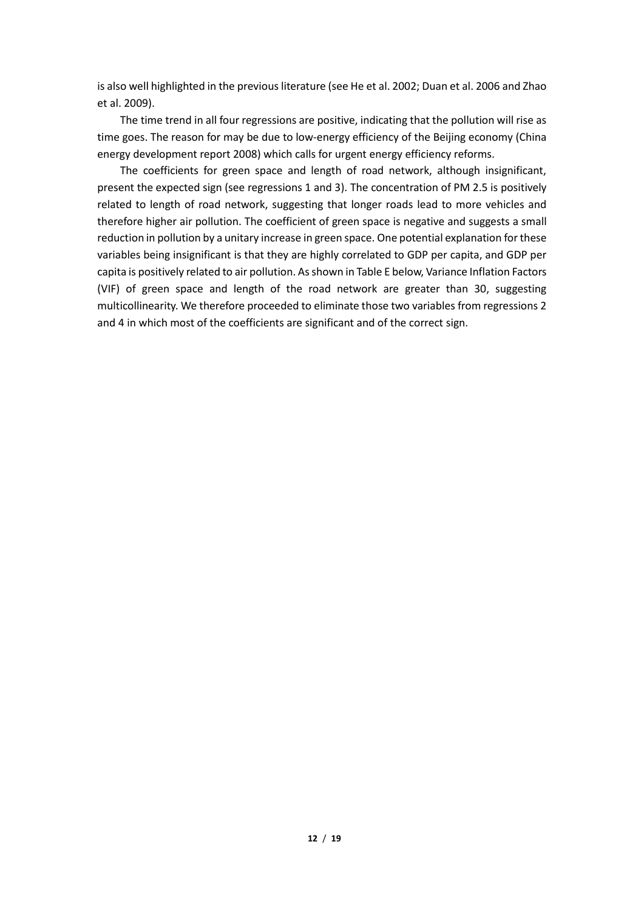is also well highlighted in the previous literature (see He et al. 2002; Duan et al. 2006 and Zhao et al. 2009).

The time trend in all four regressions are positive, indicating that the pollution will rise as time goes. The reason for may be due to low-energy efficiency of the Beijing economy (China energy development report 2008) which calls for urgent energy efficiency reforms.

The coefficients for green space and length of road network, although insignificant, present the expected sign (see regressions 1 and 3). The concentration of PM 2.5 is positively related to length of road network, suggesting that longer roads lead to more vehicles and therefore higher air pollution. The coefficient of green space is negative and suggests a small reduction in pollution by a unitary increase in green space. One potential explanation for these variables being insignificant is that they are highly correlated to GDP per capita, and GDP per capita is positively related to air pollution. As shown in Table E below, Variance Inflation Factors (VIF) of green space and length of the road network are greater than 30, suggesting multicollinearity. We therefore proceeded to eliminate those two variables from regressions 2 and 4 in which most of the coefficients are significant and of the correct sign.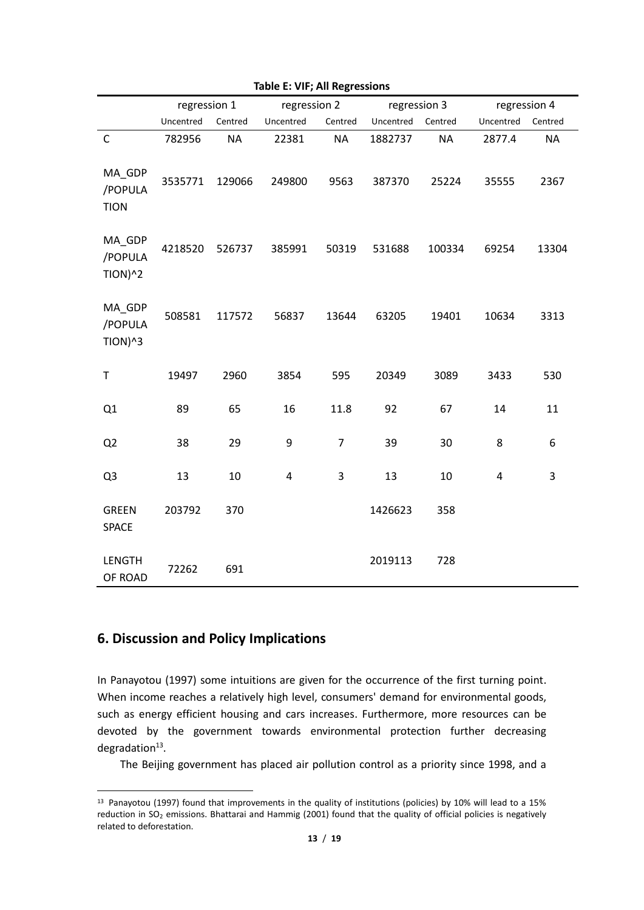|                                           | regression 1 |           | regression 2 |                | regression 3 |           | regression 4   |           |
|-------------------------------------------|--------------|-----------|--------------|----------------|--------------|-----------|----------------|-----------|
|                                           | Uncentred    | Centred   | Uncentred    | Centred        | Uncentred    | Centred   | Uncentred      | Centred   |
| $\mathsf{C}$                              | 782956       | <b>NA</b> | 22381        | <b>NA</b>      | 1882737      | <b>NA</b> | 2877.4         | <b>NA</b> |
| MA_GDP<br>/POPULA<br><b>TION</b>          | 3535771      | 129066    | 249800       | 9563           | 387370       | 25224     | 35555          | 2367      |
| MA_GDP<br>/POPULA<br>$TION$ <sup>^2</sup> | 4218520      | 526737    | 385991       | 50319          | 531688       | 100334    | 69254          | 13304     |
| MA_GDP<br>/POPULA<br>$TION$ <sup>^3</sup> | 508581       | 117572    | 56837        | 13644          | 63205        | 19401     | 10634          | 3313      |
| T                                         | 19497        | 2960      | 3854         | 595            | 20349        | 3089      | 3433           | 530       |
| Q1                                        | 89           | 65        | 16           | 11.8           | 92           | 67        | 14             | 11        |
| Q <sub>2</sub>                            | 38           | 29        | 9            | $\overline{7}$ | 39           | 30        | 8              | 6         |
| Q3                                        | 13           | 10        | 4            | 3              | 13           | 10        | $\overline{4}$ | 3         |
| <b>GREEN</b><br><b>SPACE</b>              | 203792       | 370       |              |                | 1426623      | 358       |                |           |
| <b>LENGTH</b><br>OF ROAD                  | 72262        | 691       |              |                | 2019113      | 728       |                |           |

**Table E: VIF; All Regressions**

# **6. Discussion and Policy Implications**

**.** 

In Panayotou (1997) some intuitions are given for the occurrence of the first turning point. When income reaches a relatively high level, consumers' demand for environmental goods, such as energy efficient housing and cars increases. Furthermore, more resources can be devoted by the government towards environmental protection further decreasing degradation<sup>13</sup>.

The Beijing government has placed air pollution control as a priority since 1998, and a

<sup>13</sup> Panayotou (1997) found that improvements in the quality of institutions (policies) by 10% will lead to a 15% reduction in SO<sub>2</sub> emissions. Bhattarai and Hammig (2001) found that the quality of official policies is negatively related to deforestation.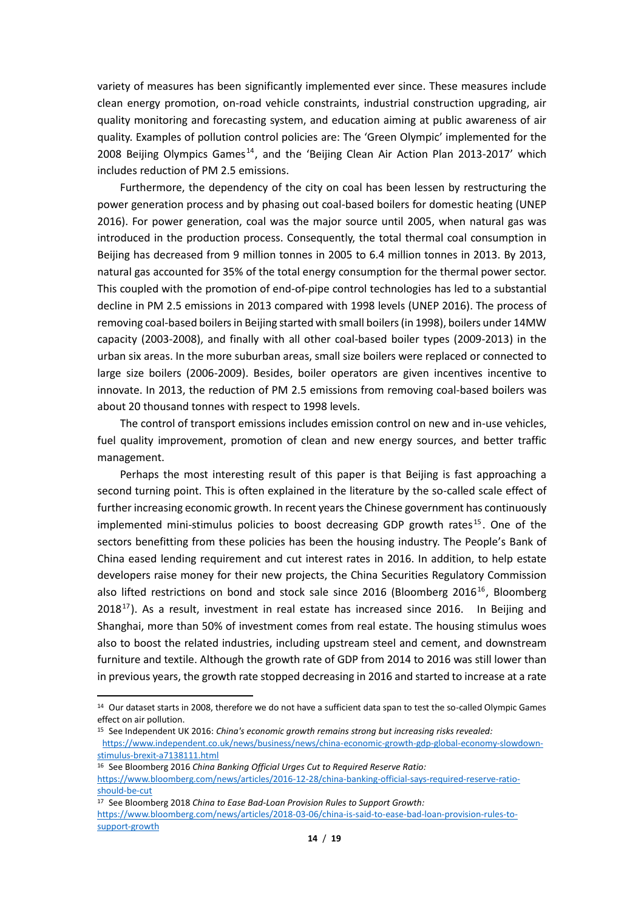variety of measures has been significantly implemented ever since. These measures include clean energy promotion, on-road vehicle constraints, industrial construction upgrading, air quality monitoring and forecasting system, and education aiming at public awareness of air quality. Examples of pollution control policies are: The 'Green Olympic' implemented for the 2008 Beijing Olympics Games<sup>14</sup>, and the 'Beijing Clean Air Action Plan 2013-2017' which includes reduction of PM 2.5 emissions.

Furthermore, the dependency of the city on coal has been lessen by restructuring the power generation process and by phasing out coal-based boilers for domestic heating (UNEP 2016). For power generation, coal was the major source until 2005, when natural gas was introduced in the production process. Consequently, the total thermal coal consumption in Beijing has decreased from 9 million tonnes in 2005 to 6.4 million tonnes in 2013. By 2013, natural gas accounted for 35% of the total energy consumption for the thermal power sector. This coupled with the promotion of end-of-pipe control technologies has led to a substantial decline in PM 2.5 emissions in 2013 compared with 1998 levels (UNEP 2016). The process of removing coal-based boilers in Beijing started with small boilers (in 1998), boilers under 14MW capacity (2003-2008), and finally with all other coal-based boiler types (2009-2013) in the urban six areas. In the more suburban areas, small size boilers were replaced or connected to large size boilers (2006-2009). Besides, boiler operators are given incentives incentive to innovate. In 2013, the reduction of PM 2.5 emissions from removing coal-based boilers was about 20 thousand tonnes with respect to 1998 levels.

The control of transport emissions includes emission control on new and in-use vehicles, fuel quality improvement, promotion of clean and new energy sources, and better traffic management.

Perhaps the most interesting result of this paper is that Beijing is fast approaching a second turning point. This is often explained in the literature by the so-called scale effect of further increasing economic growth. In recent years the Chinese government has continuously implemented mini-stimulus policies to boost decreasing GDP growth rates<sup>15</sup>. One of the sectors benefitting from these policies has been the housing industry. The People's Bank of China eased lending requirement and cut interest rates in 2016. In addition, to help estate developers raise money for their new projects, the China Securities Regulatory Commission also lifted restrictions on bond and stock sale since 2016 (Bloomberg 2016<sup>16</sup>, Bloomberg  $2018^{17}$ ). As a result, investment in real estate has increased since 2016. In Beijing and Shanghai, more than 50% of investment comes from real estate. The housing stimulus woes also to boost the related industries, including upstream steel and cement, and downstream furniture and textile. Although the growth rate of GDP from 2014 to 2016 was still lower than in previous years, the growth rate stopped decreasing in 2016 and started to increase at a rate

1

<sup>&</sup>lt;sup>14</sup> Our dataset starts in 2008, therefore we do not have a sufficient data span to test the so-called Olympic Games effect on air pollution.

<sup>15</sup> See Independent UK 2016: *China's economic growth remains strong but increasing risks revealed:* [https://www.independent.co.uk/news/business/news/china-economic-growth-gdp-global-economy-slowdown](https://www.independent.co.uk/news/business/news/china-economic-growth-gdp-global-economy-slowdown-stimulus-brexit-a7138111.html)[stimulus-brexit-a7138111.html](https://www.independent.co.uk/news/business/news/china-economic-growth-gdp-global-economy-slowdown-stimulus-brexit-a7138111.html)

<sup>16</sup> See Bloomberg 2016 *China Banking Official Urges Cut to Required Reserve Ratio:* [https://www.bloomberg.com/news/articles/2016-12-28/china-banking-official-says-required-reserve-ratio](https://www.bloomberg.com/news/articles/2016-12-28/china-banking-official-says-required-reserve-ratio-should-be-cut)[should-be-cut](https://www.bloomberg.com/news/articles/2016-12-28/china-banking-official-says-required-reserve-ratio-should-be-cut)

<sup>17</sup> See Bloomberg 2018 *China to Ease Bad-Loan Provision Rules to Support Growth:* [https://www.bloomberg.com/news/articles/2018-03-06/china-is-said-to-ease-bad-loan-provision-rules-to](https://www.bloomberg.com/news/articles/2018-03-06/china-is-said-to-ease-bad-loan-provision-rules-to-support-growth)[support-growth](https://www.bloomberg.com/news/articles/2018-03-06/china-is-said-to-ease-bad-loan-provision-rules-to-support-growth)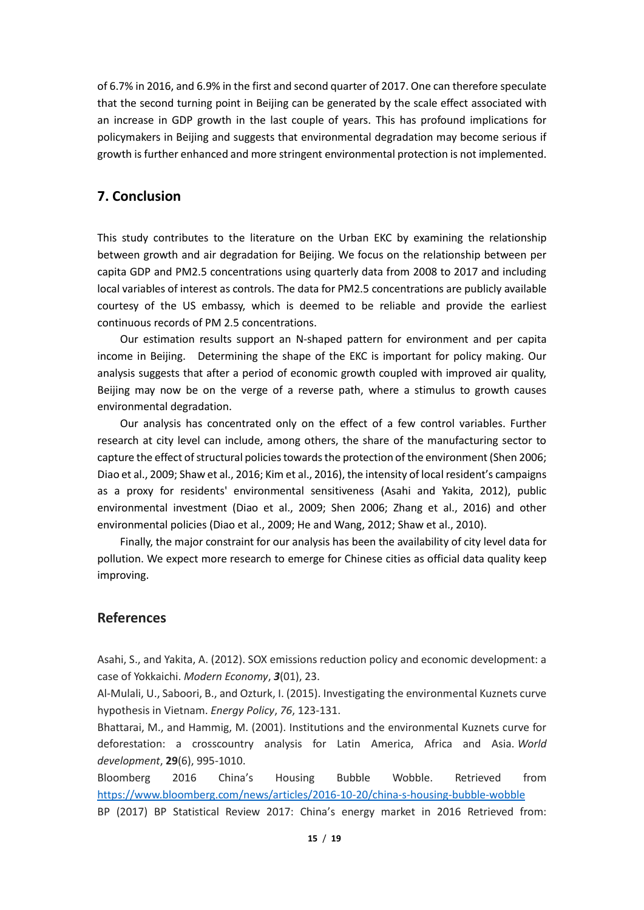of 6.7% in 2016, and 6.9% in the first and second quarter of 2017. One can therefore speculate that the second turning point in Beijing can be generated by the scale effect associated with an increase in GDP growth in the last couple of years. This has profound implications for policymakers in Beijing and suggests that environmental degradation may become serious if growth is further enhanced and more stringent environmental protection is not implemented.

## **7. Conclusion**

This study contributes to the literature on the Urban EKC by examining the relationship between growth and air degradation for Beijing. We focus on the relationship between per capita GDP and PM2.5 concentrations using quarterly data from 2008 to 2017 and including local variables of interest as controls. The data for PM2.5 concentrations are publicly available courtesy of the US embassy, which is deemed to be reliable and provide the earliest continuous records of PM 2.5 concentrations.

Our estimation results support an N-shaped pattern for environment and per capita income in Beijing. Determining the shape of the EKC is important for policy making. Our analysis suggests that after a period of economic growth coupled with improved air quality, Beijing may now be on the verge of a reverse path, where a stimulus to growth causes environmental degradation.

Our analysis has concentrated only on the effect of a few control variables. Further research at city level can include, among others, the share of the manufacturing sector to capture the effect of structural policies towards the protection of the environment (Shen 2006; Diao et al., 2009; Shaw et al., 2016; Kim et al., 2016), the intensity of local resident's campaigns as a proxy for residents' environmental sensitiveness (Asahi and Yakita, 2012), public environmental investment (Diao et al., 2009; Shen 2006; Zhang et al., 2016) and other environmental policies (Diao et al., 2009; He and Wang, 2012; Shaw et al., 2010).

Finally, the major constraint for our analysis has been the availability of city level data for pollution. We expect more research to emerge for Chinese cities as official data quality keep improving.

#### **References**

Asahi, S., and Yakita, A. (2012). SOX emissions reduction policy and economic development: a case of Yokkaichi. *Modern Economy*, *3*(01), 23.

Al-Mulali, U., Saboori, B., and Ozturk, I. (2015). Investigating the environmental Kuznets curve hypothesis in Vietnam. *Energy Policy*, *76*, 123-131.

Bhattarai, M., and Hammig, M. (2001). Institutions and the environmental Kuznets curve for deforestation: a crosscountry analysis for Latin America, Africa and Asia. *World development*, **29**(6), 995-1010.

Bloomberg 2016 China's Housing Bubble Wobble. Retrieved from <https://www.bloomberg.com/news/articles/2016-10-20/china-s-housing-bubble-wobble>

BP (2017) BP Statistical Review 2017: China's energy market in 2016 Retrieved from: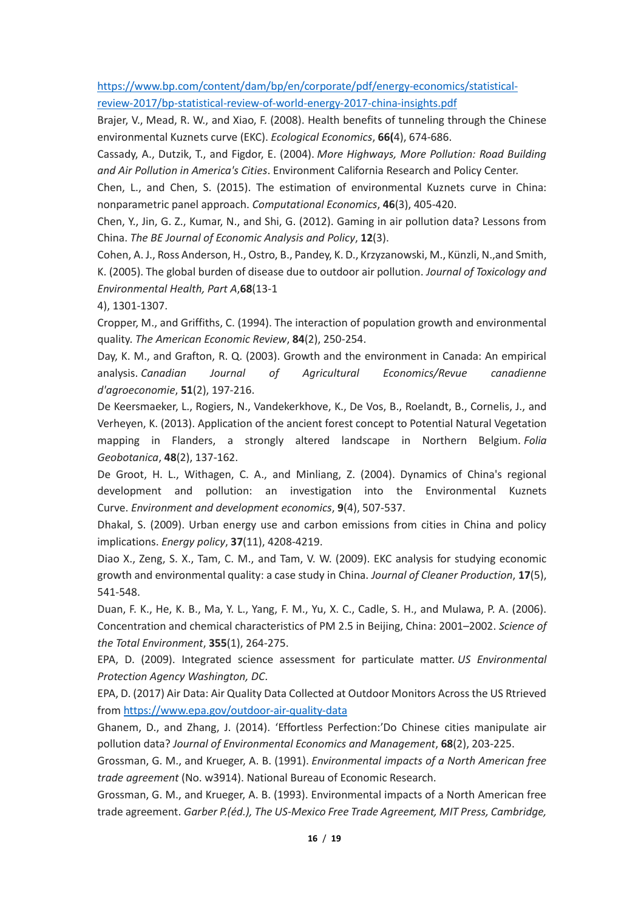[https://www.bp.com/content/dam/bp/en/corporate/pdf/energy-economics/statistical](https://www.bp.com/content/dam/bp/en/corporate/pdf/energy-economics/statistical-review-2017/bp-statistical-review-of-world-energy-2017-china-insights.pdf)[review-2017/bp-statistical-review-of-world-energy-2017-china-insights.pdf](https://www.bp.com/content/dam/bp/en/corporate/pdf/energy-economics/statistical-review-2017/bp-statistical-review-of-world-energy-2017-china-insights.pdf)

Brajer, V., Mead, R. W., and Xiao, F. (2008). Health benefits of tunneling through the Chinese environmental Kuznets curve (EKC). *Ecological Economics*, **66(**4), 674-686.

Cassady, A., Dutzik, T., and Figdor, E. (2004). *More Highways, More Pollution: Road Building and Air Pollution in America's Cities*. Environment California Research and Policy Center.

Chen, L., and Chen, S. (2015). The estimation of environmental Kuznets curve in China: nonparametric panel approach. *Computational Economics*, **46**(3), 405-420.

Chen, Y., Jin, G. Z., Kumar, N., and Shi, G. (2012). Gaming in air pollution data? Lessons from China. *The BE Journal of Economic Analysis and Policy*, **12**(3).

Cohen, A. J., Ross Anderson, H., Ostro, B., Pandey, K. D., Krzyzanowski, M., Künzli, N.,and Smith, K. (2005). The global burden of disease due to outdoor air pollution. *Journal of Toxicology and Environmental Health, Part A*,**68**(13-1

4), 1301-1307.

Cropper, M., and Griffiths, C. (1994). The interaction of population growth and environmental quality. *The American Economic Review*, **84**(2), 250-254.

Day, K. M., and Grafton, R. Q. (2003). Growth and the environment in Canada: An empirical analysis. *Canadian Journal of Agricultural Economics/Revue canadienne d'agroeconomie*, **51**(2), 197-216.

De Keersmaeker, L., Rogiers, N., Vandekerkhove, K., De Vos, B., Roelandt, B., Cornelis, J., and Verheyen, K. (2013). Application of the ancient forest concept to Potential Natural Vegetation mapping in Flanders, a strongly altered landscape in Northern Belgium. *Folia Geobotanica*, **48**(2), 137-162.

De Groot, H. L., Withagen, C. A., and Minliang, Z. (2004). Dynamics of China's regional development and pollution: an investigation into the Environmental Kuznets Curve. *Environment and development economics*, **9**(4), 507-537.

Dhakal, S. (2009). Urban energy use and carbon emissions from cities in China and policy implications. *Energy policy*, **37**(11), 4208-4219.

Diao X., Zeng, S. X., Tam, C. M., and Tam, V. W. (2009). EKC analysis for studying economic growth and environmental quality: a case study in China. *Journal of Cleaner Production*, **17**(5), 541-548.

Duan, F. K., He, K. B., Ma, Y. L., Yang, F. M., Yu, X. C., Cadle, S. H., and Mulawa, P. A. (2006). Concentration and chemical characteristics of PM 2.5 in Beijing, China: 2001–2002. *Science of the Total Environment*, **355**(1), 264-275.

EPA, D. (2009). Integrated science assessment for particulate matter. *US Environmental Protection Agency Washington, DC*.

EPA, D. (2017) Air Data: Air Quality Data Collected at Outdoor Monitors Across the US Rtrieved from<https://www.epa.gov/outdoor-air-quality-data>

Ghanem, D., and Zhang, J. (2014). 'Effortless Perfection:'Do Chinese cities manipulate air pollution data? *Journal of Environmental Economics and Management*, **68**(2), 203-225.

Grossman, G. M., and Krueger, A. B. (1991). *Environmental impacts of a North American free trade agreement* (No. w3914). National Bureau of Economic Research.

Grossman, G. M., and Krueger, A. B. (1993). Environmental impacts of a North American free trade agreement. *Garber P.(éd.), The US-Mexico Free Trade Agreement, MIT Press, Cambridge,*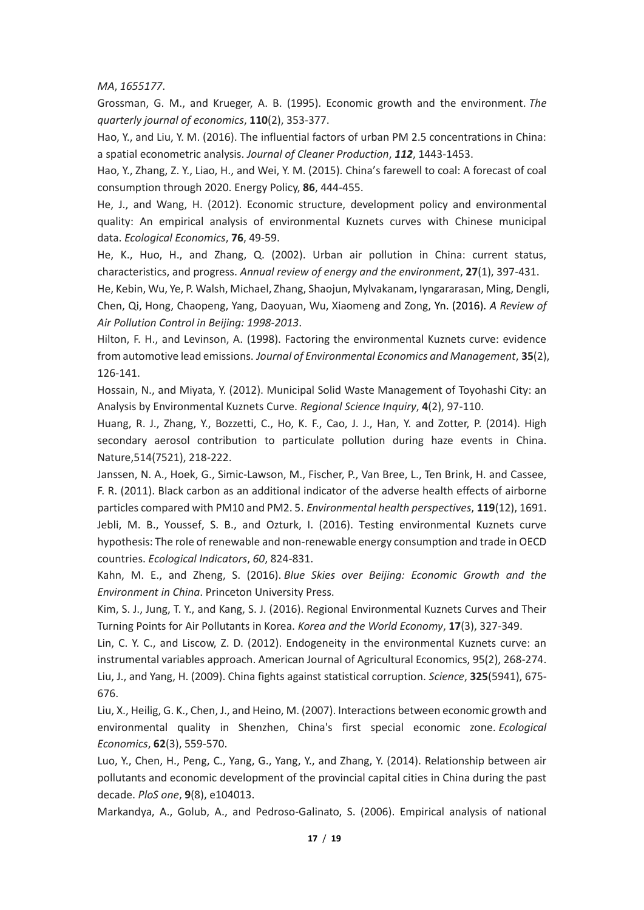*MA*, *1655177*.

Grossman, G. M., and Krueger, A. B. (1995). Economic growth and the environment. *The quarterly journal of economics*, **110**(2), 353-377.

Hao, Y., and Liu, Y. M. (2016). The influential factors of urban PM 2.5 concentrations in China: a spatial econometric analysis. *Journal of Cleaner Production*, *112*, 1443-1453.

Hao, Y., Zhang, Z. Y., Liao, H., and Wei, Y. M. (2015). China's farewell to coal: A forecast of coal consumption through 2020. Energy Policy, **86**, 444-455.

He, J., and Wang, H. (2012). Economic structure, development policy and environmental quality: An empirical analysis of environmental Kuznets curves with Chinese municipal data. *Ecological Economics*, **76**, 49-59.

He, K., Huo, H., and Zhang, Q. (2002). Urban air pollution in China: current status, characteristics, and progress. *Annual review of energy and the environment*, **27**(1), 397-431.

He, Kebin, Wu, Ye, P. Walsh, Michael, Zhang, Shaojun, Mylvakanam, Iyngararasan, Ming, Dengli, Chen, Qi, Hong, Chaopeng, Yang, Daoyuan, Wu, Xiaomeng and Zong, Yn. (2016). *A Review of Air Pollution Control in Beijing: 1998-2013*.

Hilton, F. H., and Levinson, A. (1998). Factoring the environmental Kuznets curve: evidence from automotive lead emissions. *Journal of Environmental Economics and Management*, **35**(2), 126-141.

Hossain, N., and Miyata, Y. (2012). Municipal Solid Waste Management of Toyohashi City: an Analysis by Environmental Kuznets Curve. *Regional Science Inquiry*, **4**(2), 97-110.

Huang, R. J., Zhang, Y., Bozzetti, C., Ho, K. F., Cao, J. J., Han, Y. and Zotter, P. (2014). High secondary aerosol contribution to particulate pollution during haze events in China. Nature,514(7521), 218-222.

Janssen, N. A., Hoek, G., Simic-Lawson, M., Fischer, P., Van Bree, L., Ten Brink, H. and Cassee, F. R. (2011). Black carbon as an additional indicator of the adverse health effects of airborne particles compared with PM10 and PM2. 5. *Environmental health perspectives*, **119**(12), 1691. Jebli, M. B., Youssef, S. B., and Ozturk, I. (2016). Testing environmental Kuznets curve hypothesis: The role of renewable and non-renewable energy consumption and trade in OECD countries. *Ecological Indicators*, *60*, 824-831.

Kahn, M. E., and Zheng, S. (2016). *Blue Skies over Beijing: Economic Growth and the Environment in China*. Princeton University Press.

Kim, S. J., Jung, T. Y., and Kang, S. J. (2016). Regional Environmental Kuznets Curves and Their Turning Points for Air Pollutants in Korea. *Korea and the World Economy*, **17**(3), 327-349.

Lin, C. Y. C., and Liscow, Z. D. (2012). Endogeneity in the environmental Kuznets curve: an instrumental variables approach. American Journal of Agricultural Economics, 95(2), 268-274. Liu, J., and Yang, H. (2009). China fights against statistical corruption. *Science*, **325**(5941), 675- 676.

Liu, X., Heilig, G. K., Chen, J., and Heino, M. (2007). Interactions between economic growth and environmental quality in Shenzhen, China's first special economic zone. *Ecological Economics*, **62**(3), 559-570.

Luo, Y., Chen, H., Peng, C., Yang, G., Yang, Y., and Zhang, Y. (2014). Relationship between air pollutants and economic development of the provincial capital cities in China during the past decade. *PloS one*, **9**(8), e104013.

Markandya, A., Golub, A., and Pedroso-Galinato, S. (2006). Empirical analysis of national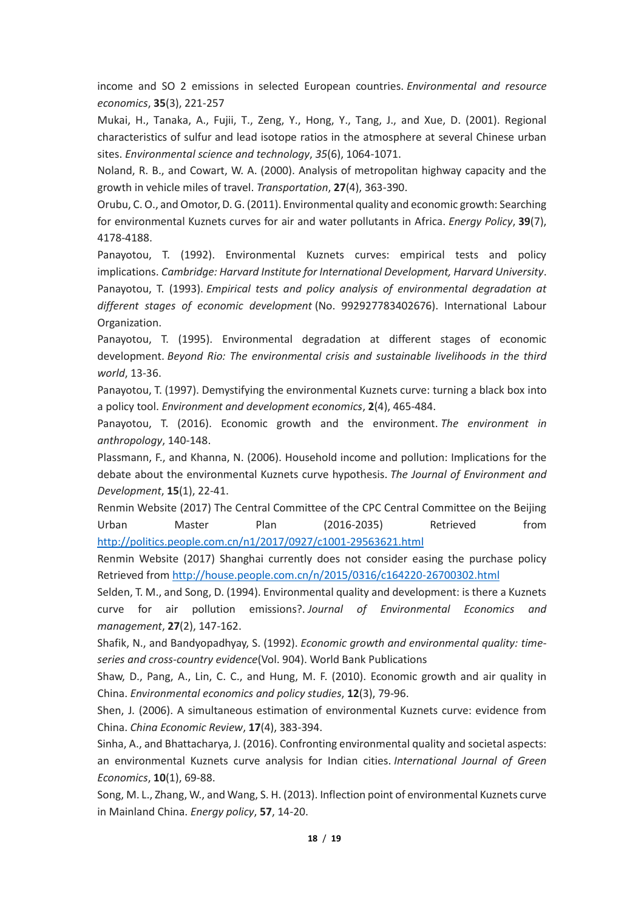income and SO 2 emissions in selected European countries. *Environmental and resource economics*, **35**(3), 221-257

Mukai, H., Tanaka, A., Fujii, T., Zeng, Y., Hong, Y., Tang, J., and Xue, D. (2001). Regional characteristics of sulfur and lead isotope ratios in the atmosphere at several Chinese urban sites. *Environmental science and technology*, *35*(6), 1064-1071.

Noland, R. B., and Cowart, W. A. (2000). Analysis of metropolitan highway capacity and the growth in vehicle miles of travel. *Transportation*, **27**(4), 363-390.

Orubu, C. O., and Omotor, D. G. (2011). Environmental quality and economic growth: Searching for environmental Kuznets curves for air and water pollutants in Africa. *Energy Policy*, **39**(7), 4178-4188.

Panayotou, T. (1992). Environmental Kuznets curves: empirical tests and policy implications. *Cambridge: Harvard Institute for International Development, Harvard University*. Panayotou, T. (1993). *Empirical tests and policy analysis of environmental degradation at different stages of economic development* (No. 992927783402676). International Labour Organization.

Panayotou, T. (1995). Environmental degradation at different stages of economic development. *Beyond Rio: The environmental crisis and sustainable livelihoods in the third world*, 13-36.

Panayotou, T. (1997). Demystifying the environmental Kuznets curve: turning a black box into a policy tool. *Environment and development economics*, **2**(4), 465-484.

Panayotou, T. (2016). Economic growth and the environment. *The environment in anthropology*, 140-148.

Plassmann, F., and Khanna, N. (2006). Household income and pollution: Implications for the debate about the environmental Kuznets curve hypothesis. *The Journal of Environment and Development*, **15**(1), 22-41.

Renmin Website (2017) The Central Committee of the CPC Central Committee on the Beijing Urban Master Plan (2016-2035) Retrieved from <http://politics.people.com.cn/n1/2017/0927/c1001-29563621.html>

Renmin Website (2017) Shanghai currently does not consider easing the purchase policy Retrieved from<http://house.people.com.cn/n/2015/0316/c164220-26700302.html>

Selden, T. M., and Song, D. (1994). Environmental quality and development: is there a Kuznets curve for air pollution emissions?. *Journal of Environmental Economics and management*, **27**(2), 147-162.

Shafik, N., and Bandyopadhyay, S. (1992). *Economic growth and environmental quality: timeseries and cross-country evidence*(Vol. 904). World Bank Publications

Shaw, D., Pang, A., Lin, C. C., and Hung, M. F. (2010). Economic growth and air quality in China. *Environmental economics and policy studies*, **12**(3), 79-96.

Shen, J. (2006). A simultaneous estimation of environmental Kuznets curve: evidence from China. *China Economic Review*, **17**(4), 383-394.

Sinha, A., and Bhattacharya, J. (2016). Confronting environmental quality and societal aspects: an environmental Kuznets curve analysis for Indian cities. *International Journal of Green Economics*, **10**(1), 69-88.

Song, M. L., Zhang, W., and Wang, S. H. (2013). Inflection point of environmental Kuznets curve in Mainland China. *Energy policy*, **57**, 14-20.